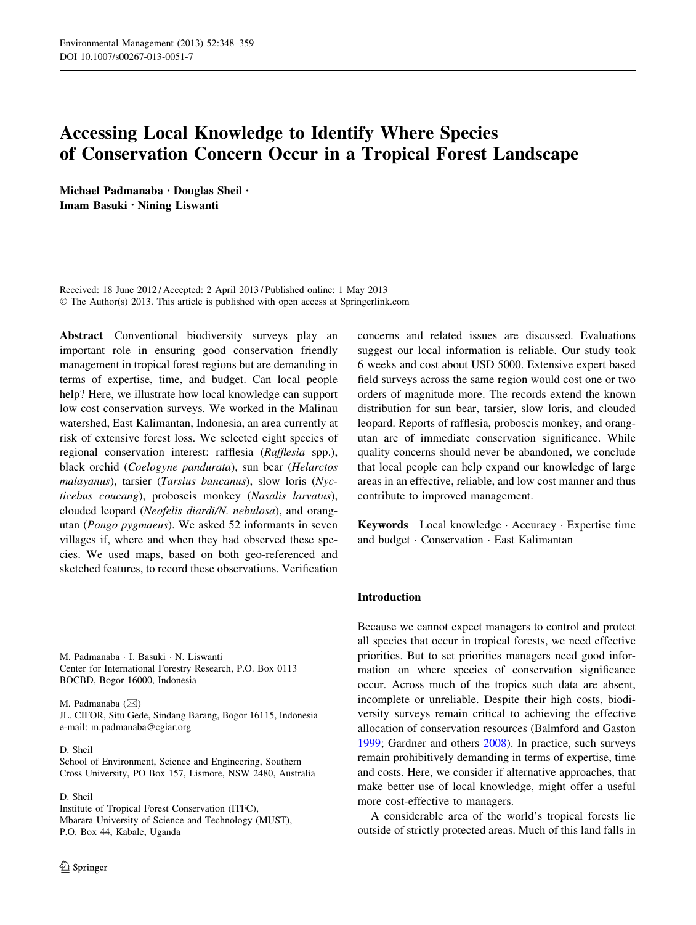# Accessing Local Knowledge to Identify Where Species of Conservation Concern Occur in a Tropical Forest Landscape

Michael Padmanaba • Douglas Sheil • Imam Basuki • Nining Liswanti

Received: 18 June 2012 / Accepted: 2 April 2013 / Published online: 1 May 2013 © The Author(s) 2013. This article is published with open access at Springerlink.com

Abstract Conventional biodiversity surveys play an important role in ensuring good conservation friendly management in tropical forest regions but are demanding in terms of expertise, time, and budget. Can local people help? Here, we illustrate how local knowledge can support low cost conservation surveys. We worked in the Malinau watershed, East Kalimantan, Indonesia, an area currently at risk of extensive forest loss. We selected eight species of regional conservation interest: rafflesia (Rafflesia spp.), black orchid (Coelogyne pandurata), sun bear (Helarctos malayanus), tarsier (Tarsius bancanus), slow loris (Nycticebus coucang), proboscis monkey (Nasalis larvatus), clouded leopard (Neofelis diardi/N. nebulosa), and orangutan (Pongo pygmaeus). We asked 52 informants in seven villages if, where and when they had observed these species. We used maps, based on both geo-referenced and sketched features, to record these observations. Verification

M. Padmanaba - I. Basuki - N. Liswanti Center for International Forestry Research, P.O. Box 0113 BOCBD, Bogor 16000, Indonesia

M. Padmanaba  $(\boxtimes)$ JL. CIFOR, Situ Gede, Sindang Barang, Bogor 16115, Indonesia e-mail: m.padmanaba@cgiar.org

#### D. Sheil

School of Environment, Science and Engineering, Southern Cross University, PO Box 157, Lismore, NSW 2480, Australia

## D. Sheil

Institute of Tropical Forest Conservation (ITFC), Mbarara University of Science and Technology (MUST), P.O. Box 44, Kabale, Uganda

concerns and related issues are discussed. Evaluations suggest our local information is reliable. Our study took 6 weeks and cost about USD 5000. Extensive expert based field surveys across the same region would cost one or two orders of magnitude more. The records extend the known distribution for sun bear, tarsier, slow loris, and clouded leopard. Reports of rafflesia, proboscis monkey, and orangutan are of immediate conservation significance. While quality concerns should never be abandoned, we conclude that local people can help expand our knowledge of large areas in an effective, reliable, and low cost manner and thus contribute to improved management.

Keywords Local knowledge - Accuracy - Expertise time and budget - Conservation - East Kalimantan

## Introduction

Because we cannot expect managers to control and protect all species that occur in tropical forests, we need effective priorities. But to set priorities managers need good information on where species of conservation significance occur. Across much of the tropics such data are absent, incomplete or unreliable. Despite their high costs, biodiversity surveys remain critical to achieving the effective allocation of conservation resources (Balmford and Gaston [1999](#page-10-0); Gardner and others [2008\)](#page-10-0). In practice, such surveys remain prohibitively demanding in terms of expertise, time and costs. Here, we consider if alternative approaches, that make better use of local knowledge, might offer a useful more cost-effective to managers.

A considerable area of the world's tropical forests lie outside of strictly protected areas. Much of this land falls in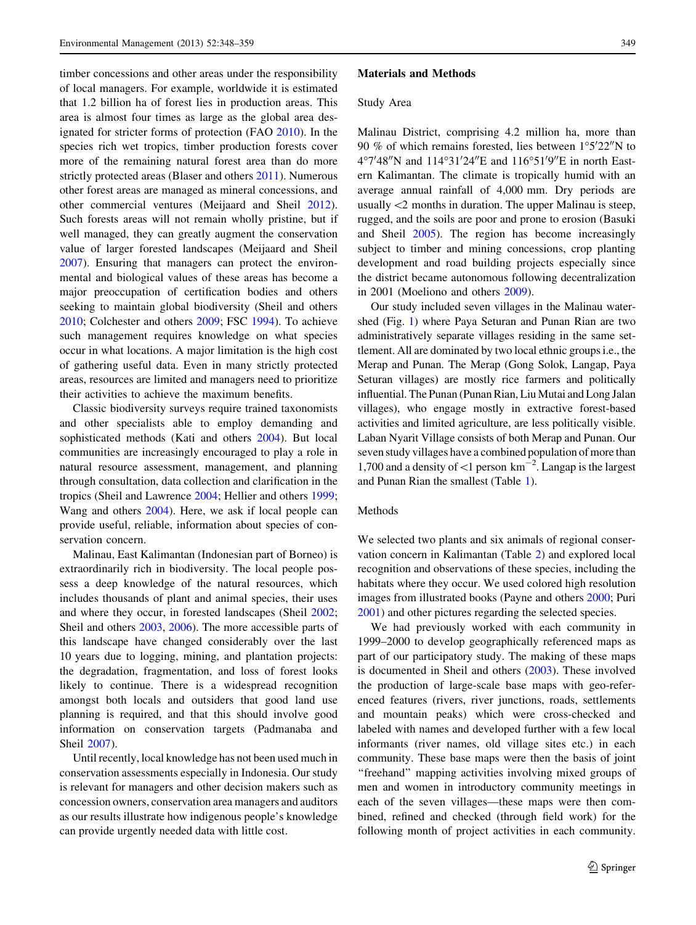timber concessions and other areas under the responsibility of local managers. For example, worldwide it is estimated that 1.2 billion ha of forest lies in production areas. This area is almost four times as large as the global area designated for stricter forms of protection (FAO [2010\)](#page-10-0). In the species rich wet tropics, timber production forests cover more of the remaining natural forest area than do more strictly protected areas (Blaser and others [2011](#page-10-0)). Numerous other forest areas are managed as mineral concessions, and other commercial ventures (Meijaard and Sheil [2012](#page-11-0)). Such forests areas will not remain wholly pristine, but if well managed, they can greatly augment the conservation value of larger forested landscapes (Meijaard and Sheil [2007\)](#page-11-0). Ensuring that managers can protect the environmental and biological values of these areas has become a major preoccupation of certification bodies and others seeking to maintain global biodiversity (Sheil and others [2010;](#page-11-0) Colchester and others [2009](#page-10-0); FSC [1994](#page-10-0)). To achieve such management requires knowledge on what species occur in what locations. A major limitation is the high cost of gathering useful data. Even in many strictly protected areas, resources are limited and managers need to prioritize their activities to achieve the maximum benefits.

Classic biodiversity surveys require trained taxonomists and other specialists able to employ demanding and sophisticated methods (Kati and others [2004\)](#page-11-0). But local communities are increasingly encouraged to play a role in natural resource assessment, management, and planning through consultation, data collection and clarification in the tropics (Sheil and Lawrence [2004](#page-11-0); Hellier and others [1999](#page-11-0); Wang and others [2004\)](#page-11-0). Here, we ask if local people can provide useful, reliable, information about species of conservation concern.

Malinau, East Kalimantan (Indonesian part of Borneo) is extraordinarily rich in biodiversity. The local people possess a deep knowledge of the natural resources, which includes thousands of plant and animal species, their uses and where they occur, in forested landscapes (Sheil [2002](#page-11-0); Sheil and others [2003](#page-11-0), [2006](#page-11-0)). The more accessible parts of this landscape have changed considerably over the last 10 years due to logging, mining, and plantation projects: the degradation, fragmentation, and loss of forest looks likely to continue. There is a widespread recognition amongst both locals and outsiders that good land use planning is required, and that this should involve good information on conservation targets (Padmanaba and Sheil [2007\)](#page-11-0).

Until recently, local knowledge has not been used much in conservation assessments especially in Indonesia. Our study is relevant for managers and other decision makers such as concession owners, conservation area managers and auditors as our results illustrate how indigenous people's knowledge can provide urgently needed data with little cost.

#### Materials and Methods

#### Study Area

Malinau District, comprising 4.2 million ha, more than 90 % of which remains forested, lies between  $1^{\circ}5'22''N$  to 4°7′48″N and 114°31′24″E and 116°51′9″E in north Eastern Kalimantan. The climate is tropically humid with an average annual rainfall of 4,000 mm. Dry periods are usually  $\langle 2 \rangle$  months in duration. The upper Malinau is steep, rugged, and the soils are poor and prone to erosion (Basuki and Sheil [2005](#page-10-0)). The region has become increasingly subject to timber and mining concessions, crop planting development and road building projects especially since the district became autonomous following decentralization in 2001 (Moeliono and others [2009\)](#page-11-0).

Our study included seven villages in the Malinau watershed (Fig. [1\)](#page-2-0) where Paya Seturan and Punan Rian are two administratively separate villages residing in the same settlement. All are dominated by two local ethnic groups i.e., the Merap and Punan. The Merap (Gong Solok, Langap, Paya Seturan villages) are mostly rice farmers and politically influential. The Punan (Punan Rian, Liu Mutai and Long Jalan villages), who engage mostly in extractive forest-based activities and limited agriculture, are less politically visible. Laban Nyarit Village consists of both Merap and Punan. Our seven study villages have a combined population of more than 1,700 and a density of  $\leq$ 1 person km<sup>-2</sup>. Langap is the largest and Punan Rian the smallest (Table [1](#page-2-0)).

### Methods

We selected two plants and six animals of regional conservation concern in Kalimantan (Table [2](#page-3-0)) and explored local recognition and observations of these species, including the habitats where they occur. We used colored high resolution images from illustrated books (Payne and others [2000](#page-11-0); Puri [2001](#page-11-0)) and other pictures regarding the selected species.

We had previously worked with each community in 1999–2000 to develop geographically referenced maps as part of our participatory study. The making of these maps is documented in Sheil and others ([2003\)](#page-11-0). These involved the production of large-scale base maps with geo-referenced features (rivers, river junctions, roads, settlements and mountain peaks) which were cross-checked and labeled with names and developed further with a few local informants (river names, old village sites etc.) in each community. These base maps were then the basis of joint ''freehand'' mapping activities involving mixed groups of men and women in introductory community meetings in each of the seven villages—these maps were then combined, refined and checked (through field work) for the following month of project activities in each community.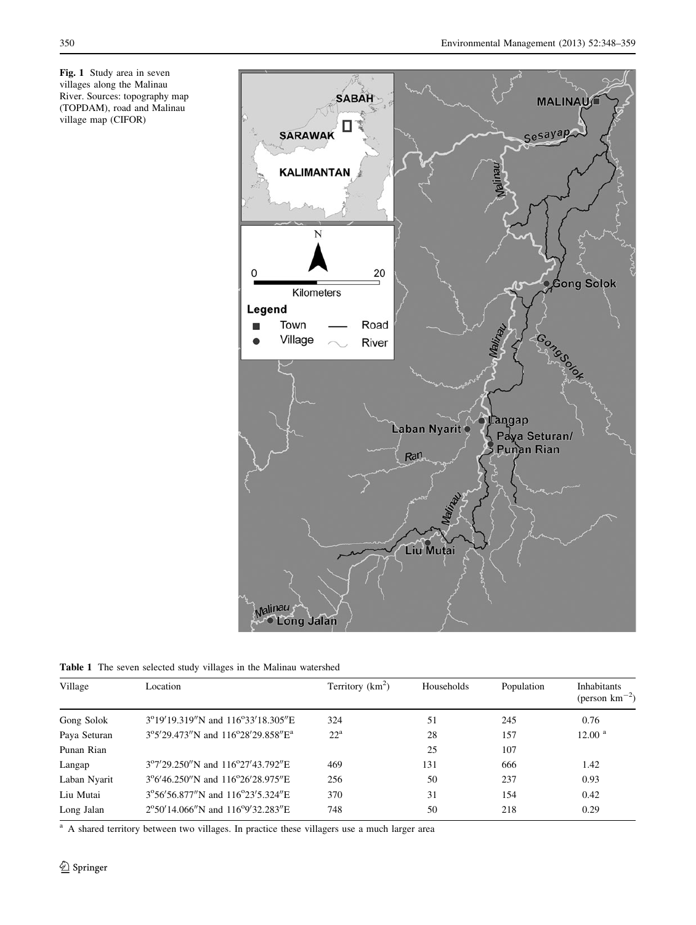<span id="page-2-0"></span>Fig. 1 Study area in seven villages along the Malinau River. Sources: topography map (TOPDAM), road and Malinau village map (CIFOR)



| Village      | Location                                               | Territory $(km^2)$ | Households | Population | Inhabitants<br>(person $km^{-2}$ ) |
|--------------|--------------------------------------------------------|--------------------|------------|------------|------------------------------------|
| Gong Solok   | 3°19'19.319"N and 116°33'18.305"E                      | 324                | 51         | 245        | 0.76                               |
| Paya Seturan | 3°5'29.473"N and 116°28'29.858"E <sup>a</sup>          | $22^{\rm a}$       | 28         | 157        | 12.00 <sup>a</sup>                 |
| Punan Rian   |                                                        |                    | 25         | 107        |                                    |
| Langap       | 3°7'29.250"N and 116°27'43.792"E                       | 469                | 131        | 666        | 1.42                               |
| Laban Nyarit | 3°6'46.250"N and 116°26'28.975"E                       | 256                | 50         | 237        | 0.93                               |
| Liu Mutai    | 3°56'56.877"N and 116°23'5.324"E                       | 370                | 31         | 154        | 0.42                               |
| Long Jalan   | $2^{\circ}50'14.066''$ N and $116^{\circ}9'32.283''$ E | 748                | 50         | 218        | 0.29                               |

<sup>a</sup> A shared territory between two villages. In practice these villagers use a much larger area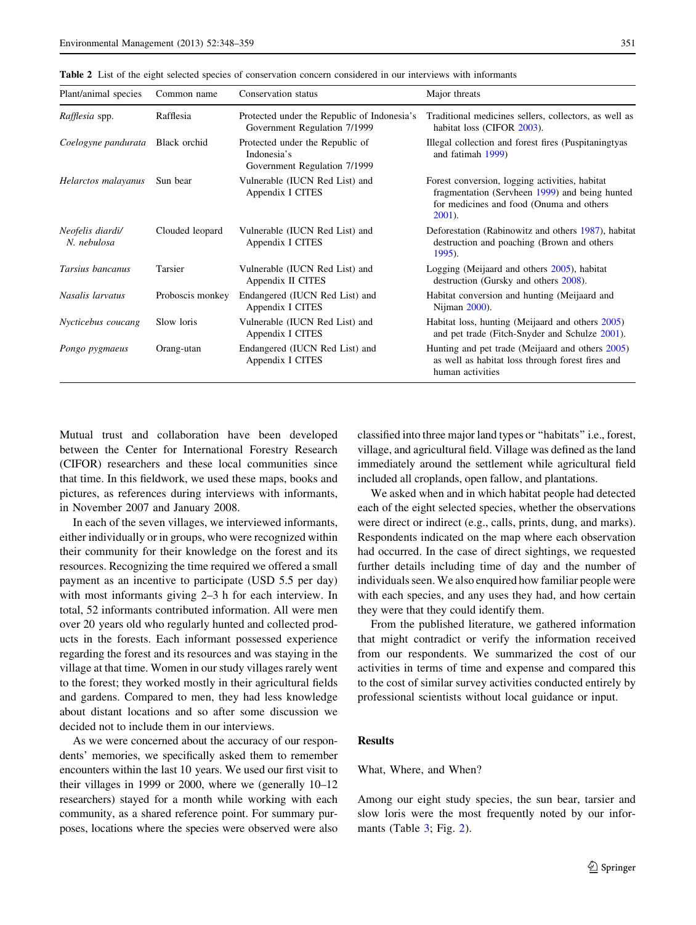<span id="page-3-0"></span>Table 2 List of the eight selected species of conservation concern considered in our interviews with informants

| Plant/animal species            | Common name      | Conservation status                                                            | Major threats                                                                                                                                              |
|---------------------------------|------------------|--------------------------------------------------------------------------------|------------------------------------------------------------------------------------------------------------------------------------------------------------|
| Rafflesia spp.                  | Rafflesia        | Protected under the Republic of Indonesia's<br>Government Regulation 7/1999    | Traditional medicines sellers, collectors, as well as<br>habitat loss (CIFOR 2003).                                                                        |
| Coelogyne pandurata             | Black orchid     | Protected under the Republic of<br>Indonesia's<br>Government Regulation 7/1999 | Illegal collection and forest fires (Puspitaningtyas)<br>and fatimah 1999)                                                                                 |
| Helarctos malayanus             | Sun bear         | Vulnerable (IUCN Red List) and<br>Appendix I CITES                             | Forest conversion, logging activities, habitat<br>fragmentation (Servheen 1999) and being hunted<br>for medicines and food (Onuma and others)<br>$2001$ ). |
| Neofelis diardi/<br>N. nebulosa | Clouded leopard  | Vulnerable (IUCN Red List) and<br>Appendix I CITES                             | Deforestation (Rabinowitz and others 1987), habitat<br>destruction and poaching (Brown and others<br>$1995$ ).                                             |
| Tarsius bancanus                | Tarsier          | Vulnerable (IUCN Red List) and<br>Appendix II CITES                            | Logging (Meijaard and others 2005), habitat<br>destruction (Gursky and others 2008).                                                                       |
| Nasalis larvatus                | Proboscis monkey | Endangered (IUCN Red List) and<br>Appendix I CITES                             | Habitat conversion and hunting (Meijaard and<br>Nijman 2000).                                                                                              |
| Nycticebus coucang              | Slow loris       | Vulnerable (IUCN Red List) and<br>Appendix I CITES                             | Habitat loss, hunting (Meijaard and others 2005)<br>and pet trade (Fitch-Snyder and Schulze 2001).                                                         |
| Pongo pygmaeus                  | Orang-utan       | Endangered (IUCN Red List) and<br>Appendix I CITES                             | Hunting and pet trade (Meijaard and others 2005)<br>as well as habitat loss through forest fires and<br>human activities                                   |

Mutual trust and collaboration have been developed between the Center for International Forestry Research (CIFOR) researchers and these local communities since that time. In this fieldwork, we used these maps, books and pictures, as references during interviews with informants, in November 2007 and January 2008.

In each of the seven villages, we interviewed informants, either individually or in groups, who were recognized within their community for their knowledge on the forest and its resources. Recognizing the time required we offered a small payment as an incentive to participate (USD 5.5 per day) with most informants giving 2–3 h for each interview. In total, 52 informants contributed information. All were men over 20 years old who regularly hunted and collected products in the forests. Each informant possessed experience regarding the forest and its resources and was staying in the village at that time. Women in our study villages rarely went to the forest; they worked mostly in their agricultural fields and gardens. Compared to men, they had less knowledge about distant locations and so after some discussion we decided not to include them in our interviews.

As we were concerned about the accuracy of our respondents' memories, we specifically asked them to remember encounters within the last 10 years. We used our first visit to their villages in 1999 or 2000, where we (generally 10–12 researchers) stayed for a month while working with each community, as a shared reference point. For summary purposes, locations where the species were observed were also classified into three major land types or ''habitats'' i.e., forest, village, and agricultural field. Village was defined as the land immediately around the settlement while agricultural field included all croplands, open fallow, and plantations.

We asked when and in which habitat people had detected each of the eight selected species, whether the observations were direct or indirect (e.g., calls, prints, dung, and marks). Respondents indicated on the map where each observation had occurred. In the case of direct sightings, we requested further details including time of day and the number of individuals seen. We also enquired how familiar people were with each species, and any uses they had, and how certain they were that they could identify them.

From the published literature, we gathered information that might contradict or verify the information received from our respondents. We summarized the cost of our activities in terms of time and expense and compared this to the cost of similar survey activities conducted entirely by professional scientists without local guidance or input.

# **Results**

## What, Where, and When?

Among our eight study species, the sun bear, tarsier and slow loris were the most frequently noted by our infor-mants (Table [3;](#page-4-0) Fig. 2).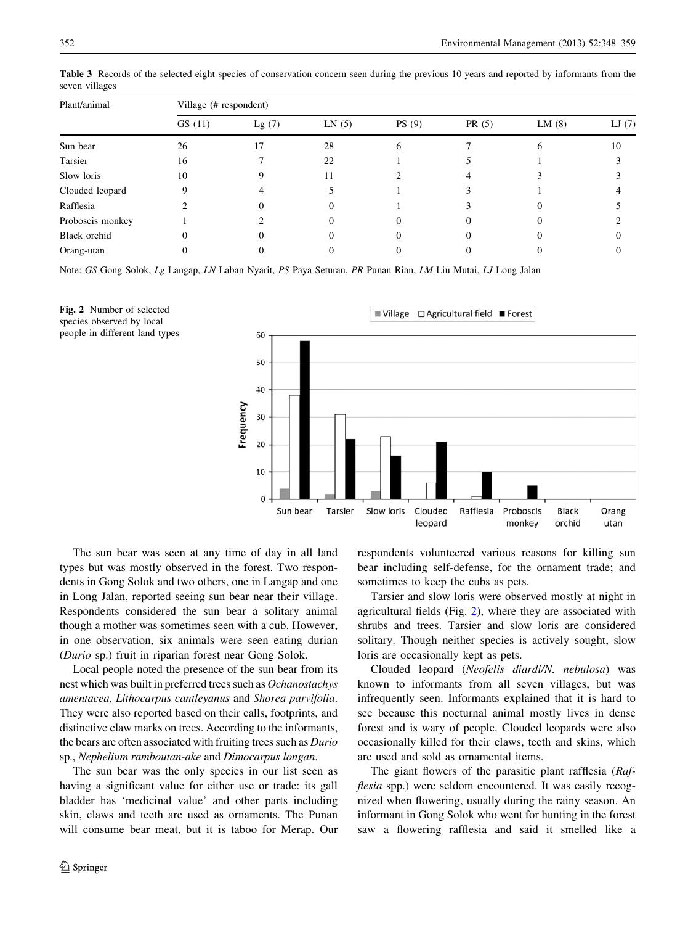| Plant/animal     | Village (# respondent) |          |       |       |       |       |       |  |
|------------------|------------------------|----------|-------|-------|-------|-------|-------|--|
|                  | GS(11)                 | Lg $(7)$ | LN(5) | PS(9) | PR(5) | LM(8) | LI(7) |  |
| Sun bear         | 26                     | 17       | 28    |       |       |       | 10    |  |
| Tarsier          | 16                     |          | 22    |       |       |       |       |  |
| Slow loris       | 10                     |          | 11    |       |       |       |       |  |
| Clouded leopard  |                        |          |       |       |       |       |       |  |
| Rafflesia        |                        |          | 0     |       |       |       |       |  |
| Proboscis monkey |                        |          | 0     |       |       |       |       |  |
| Black orchid     |                        |          |       |       |       |       |       |  |
| Orang-utan       |                        |          |       |       |       |       |       |  |

<span id="page-4-0"></span>Table 3 Records of the selected eight species of conservation concern seen during the previous 10 years and reported by informants from the seven villages

Note: GS Gong Solok, Lg Langap, LN Laban Nyarit, PS Paya Seturan, PR Punan Rian, LM Liu Mutai, LJ Long Jalan





The sun bear was seen at any time of day in all land types but was mostly observed in the forest. Two respondents in Gong Solok and two others, one in Langap and one in Long Jalan, reported seeing sun bear near their village. Respondents considered the sun bear a solitary animal though a mother was sometimes seen with a cub. However, in one observation, six animals were seen eating durian (Durio sp.) fruit in riparian forest near Gong Solok.

Local people noted the presence of the sun bear from its nest which was built in preferred trees such as Ochanostachys amentacea, Lithocarpus cantleyanus and Shorea parvifolia. They were also reported based on their calls, footprints, and distinctive claw marks on trees. According to the informants, the bears are often associated with fruiting trees such as Durio sp., Nephelium ramboutan-ake and Dimocarpus longan.

The sun bear was the only species in our list seen as having a significant value for either use or trade: its gall bladder has 'medicinal value' and other parts including skin, claws and teeth are used as ornaments. The Punan will consume bear meat, but it is taboo for Merap. Our respondents volunteered various reasons for killing sun bear including self-defense, for the ornament trade; and sometimes to keep the cubs as pets.

Tarsier and slow loris were observed mostly at night in agricultural fields (Fig. 2), where they are associated with shrubs and trees. Tarsier and slow loris are considered solitary. Though neither species is actively sought, slow loris are occasionally kept as pets.

Clouded leopard (Neofelis diardi/N. nebulosa) was known to informants from all seven villages, but was infrequently seen. Informants explained that it is hard to see because this nocturnal animal mostly lives in dense forest and is wary of people. Clouded leopards were also occasionally killed for their claws, teeth and skins, which are used and sold as ornamental items.

The giant flowers of the parasitic plant rafflesia (Rafflesia spp.) were seldom encountered. It was easily recognized when flowering, usually during the rainy season. An informant in Gong Solok who went for hunting in the forest saw a flowering rafflesia and said it smelled like a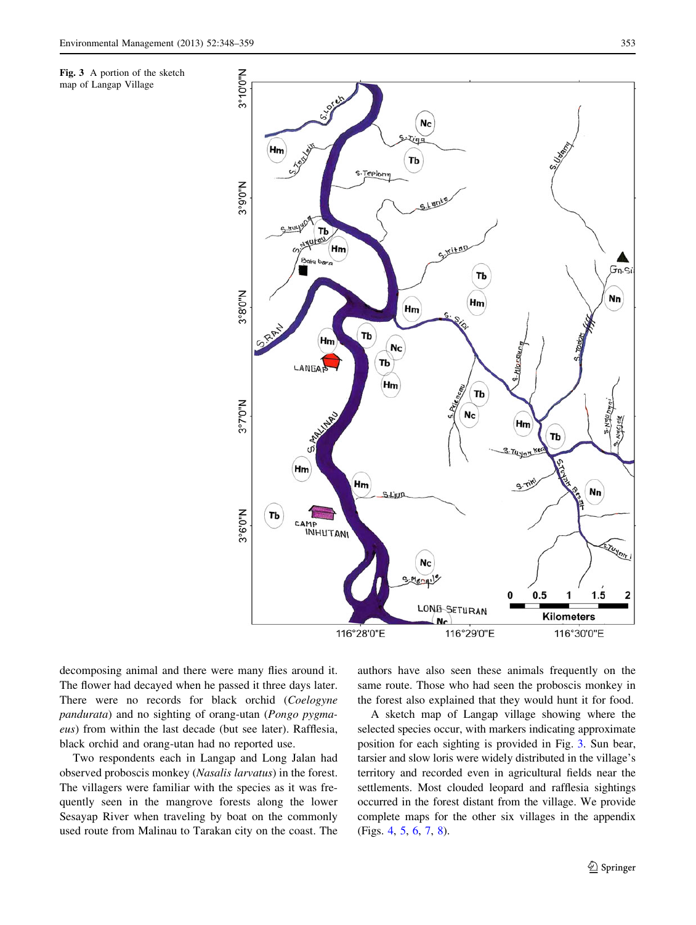



decomposing animal and there were many flies around it. The flower had decayed when he passed it three days later. There were no records for black orchid (Coelogyne pandurata) and no sighting of orang-utan (Pongo pygmaeus) from within the last decade (but see later). Rafflesia, black orchid and orang-utan had no reported use.

Two respondents each in Langap and Long Jalan had observed proboscis monkey (Nasalis larvatus) in the forest. The villagers were familiar with the species as it was frequently seen in the mangrove forests along the lower Sesayap River when traveling by boat on the commonly used route from Malinau to Tarakan city on the coast. The authors have also seen these animals frequently on the same route. Those who had seen the proboscis monkey in the forest also explained that they would hunt it for food.

A sketch map of Langap village showing where the selected species occur, with markers indicating approximate position for each sighting is provided in Fig. 3. Sun bear, tarsier and slow loris were widely distributed in the village's territory and recorded even in agricultural fields near the settlements. Most clouded leopard and rafflesia sightings occurred in the forest distant from the village. We provide complete maps for the other six villages in the appendix (Figs. [4,](#page-9-0) [5](#page-9-0), [6](#page-9-0), [7,](#page-10-0) [8](#page-10-0)).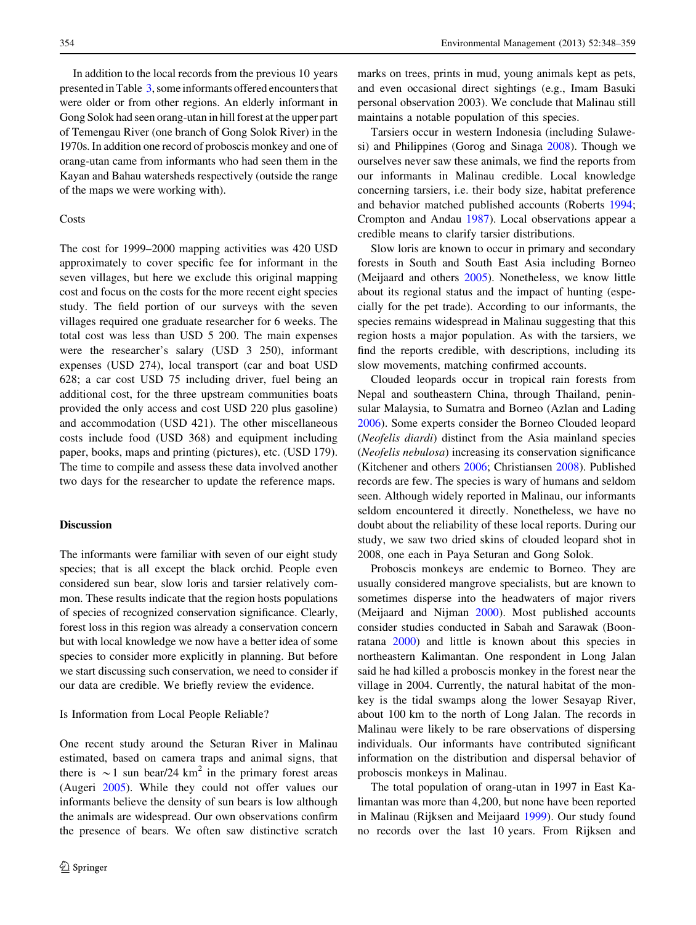In addition to the local records from the previous 10 years presented in Table [3](#page-4-0), some informants offered encounters that were older or from other regions. An elderly informant in Gong Solok had seen orang-utan in hill forest at the upper part of Temengau River (one branch of Gong Solok River) in the 1970s. In addition one record of proboscis monkey and one of orang-utan came from informants who had seen them in the Kayan and Bahau watersheds respectively (outside the range of the maps we were working with).

## Costs

The cost for 1999–2000 mapping activities was 420 USD approximately to cover specific fee for informant in the seven villages, but here we exclude this original mapping cost and focus on the costs for the more recent eight species study. The field portion of our surveys with the seven villages required one graduate researcher for 6 weeks. The total cost was less than USD 5 200. The main expenses were the researcher's salary (USD 3 250), informant expenses (USD 274), local transport (car and boat USD 628; a car cost USD 75 including driver, fuel being an additional cost, for the three upstream communities boats provided the only access and cost USD 220 plus gasoline) and accommodation (USD 421). The other miscellaneous costs include food (USD 368) and equipment including paper, books, maps and printing (pictures), etc. (USD 179). The time to compile and assess these data involved another two days for the researcher to update the reference maps.

# Discussion

The informants were familiar with seven of our eight study species; that is all except the black orchid. People even considered sun bear, slow loris and tarsier relatively common. These results indicate that the region hosts populations of species of recognized conservation significance. Clearly, forest loss in this region was already a conservation concern but with local knowledge we now have a better idea of some species to consider more explicitly in planning. But before we start discussing such conservation, we need to consider if our data are credible. We briefly review the evidence.

#### Is Information from Local People Reliable?

One recent study around the Seturan River in Malinau estimated, based on camera traps and animal signs, that there is  $\sim$ 1 sun bear/24 km<sup>2</sup> in the primary forest areas (Augeri [2005\)](#page-10-0). While they could not offer values our informants believe the density of sun bears is low although the animals are widespread. Our own observations confirm the presence of bears. We often saw distinctive scratch marks on trees, prints in mud, young animals kept as pets, and even occasional direct sightings (e.g., Imam Basuki personal observation 2003). We conclude that Malinau still maintains a notable population of this species.

Tarsiers occur in western Indonesia (including Sulawesi) and Philippines (Gorog and Sinaga [2008](#page-11-0)). Though we ourselves never saw these animals, we find the reports from our informants in Malinau credible. Local knowledge concerning tarsiers, i.e. their body size, habitat preference and behavior matched published accounts (Roberts [1994](#page-11-0); Crompton and Andau [1987\)](#page-10-0). Local observations appear a credible means to clarify tarsier distributions.

Slow loris are known to occur in primary and secondary forests in South and South East Asia including Borneo (Meijaard and others [2005](#page-11-0)). Nonetheless, we know little about its regional status and the impact of hunting (especially for the pet trade). According to our informants, the species remains widespread in Malinau suggesting that this region hosts a major population. As with the tarsiers, we find the reports credible, with descriptions, including its slow movements, matching confirmed accounts.

Clouded leopards occur in tropical rain forests from Nepal and southeastern China, through Thailand, peninsular Malaysia, to Sumatra and Borneo (Azlan and Lading [2006](#page-10-0)). Some experts consider the Borneo Clouded leopard (Neofelis diardi) distinct from the Asia mainland species (Neofelis nebulosa) increasing its conservation significance (Kitchener and others [2006](#page-11-0); Christiansen [2008\)](#page-10-0). Published records are few. The species is wary of humans and seldom seen. Although widely reported in Malinau, our informants seldom encountered it directly. Nonetheless, we have no doubt about the reliability of these local reports. During our study, we saw two dried skins of clouded leopard shot in 2008, one each in Paya Seturan and Gong Solok.

Proboscis monkeys are endemic to Borneo. They are usually considered mangrove specialists, but are known to sometimes disperse into the headwaters of major rivers (Meijaard and Nijman [2000](#page-11-0)). Most published accounts consider studies conducted in Sabah and Sarawak (Boonratana [2000](#page-10-0)) and little is known about this species in northeastern Kalimantan. One respondent in Long Jalan said he had killed a proboscis monkey in the forest near the village in 2004. Currently, the natural habitat of the monkey is the tidal swamps along the lower Sesayap River, about 100 km to the north of Long Jalan. The records in Malinau were likely to be rare observations of dispersing individuals. Our informants have contributed significant information on the distribution and dispersal behavior of proboscis monkeys in Malinau.

The total population of orang-utan in 1997 in East Kalimantan was more than 4,200, but none have been reported in Malinau (Rijksen and Meijaard [1999](#page-11-0)). Our study found no records over the last 10 years. From Rijksen and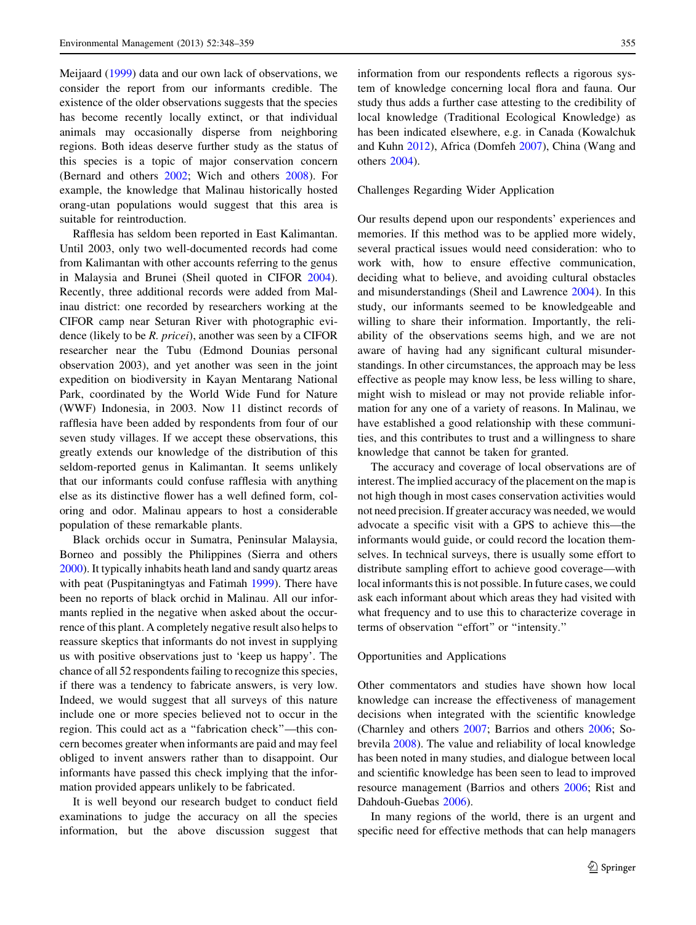Meijaard [\(1999](#page-11-0)) data and our own lack of observations, we consider the report from our informants credible. The existence of the older observations suggests that the species has become recently locally extinct, or that individual animals may occasionally disperse from neighboring regions. Both ideas deserve further study as the status of this species is a topic of major conservation concern (Bernard and others [2002;](#page-10-0) Wich and others [2008](#page-11-0)). For example, the knowledge that Malinau historically hosted orang-utan populations would suggest that this area is suitable for reintroduction.

Rafflesia has seldom been reported in East Kalimantan. Until 2003, only two well-documented records had come from Kalimantan with other accounts referring to the genus in Malaysia and Brunei (Sheil quoted in CIFOR [2004](#page-10-0)). Recently, three additional records were added from Malinau district: one recorded by researchers working at the CIFOR camp near Seturan River with photographic evidence (likely to be R. pricei), another was seen by a CIFOR researcher near the Tubu (Edmond Dounias personal observation 2003), and yet another was seen in the joint expedition on biodiversity in Kayan Mentarang National Park, coordinated by the World Wide Fund for Nature (WWF) Indonesia, in 2003. Now 11 distinct records of rafflesia have been added by respondents from four of our seven study villages. If we accept these observations, this greatly extends our knowledge of the distribution of this seldom-reported genus in Kalimantan. It seems unlikely that our informants could confuse rafflesia with anything else as its distinctive flower has a well defined form, coloring and odor. Malinau appears to host a considerable population of these remarkable plants.

Black orchids occur in Sumatra, Peninsular Malaysia, Borneo and possibly the Philippines (Sierra and others [2000\)](#page-11-0). It typically inhabits heath land and sandy quartz areas with peat (Puspitaningtyas and Fatimah [1999\)](#page-11-0). There have been no reports of black orchid in Malinau. All our informants replied in the negative when asked about the occurrence of this plant. A completely negative result also helps to reassure skeptics that informants do not invest in supplying us with positive observations just to 'keep us happy'. The chance of all 52 respondents failing to recognize this species, if there was a tendency to fabricate answers, is very low. Indeed, we would suggest that all surveys of this nature include one or more species believed not to occur in the region. This could act as a ''fabrication check''—this concern becomes greater when informants are paid and may feel obliged to invent answers rather than to disappoint. Our informants have passed this check implying that the information provided appears unlikely to be fabricated.

It is well beyond our research budget to conduct field examinations to judge the accuracy on all the species information, but the above discussion suggest that information from our respondents reflects a rigorous system of knowledge concerning local flora and fauna. Our study thus adds a further case attesting to the credibility of local knowledge (Traditional Ecological Knowledge) as has been indicated elsewhere, e.g. in Canada (Kowalchuk and Kuhn [2012](#page-11-0)), Africa (Domfeh [2007](#page-10-0)), China (Wang and others [2004\)](#page-11-0).

# Challenges Regarding Wider Application

Our results depend upon our respondents' experiences and memories. If this method was to be applied more widely, several practical issues would need consideration: who to work with, how to ensure effective communication, deciding what to believe, and avoiding cultural obstacles and misunderstandings (Sheil and Lawrence [2004](#page-11-0)). In this study, our informants seemed to be knowledgeable and willing to share their information. Importantly, the reliability of the observations seems high, and we are not aware of having had any significant cultural misunderstandings. In other circumstances, the approach may be less effective as people may know less, be less willing to share, might wish to mislead or may not provide reliable information for any one of a variety of reasons. In Malinau, we have established a good relationship with these communities, and this contributes to trust and a willingness to share knowledge that cannot be taken for granted.

The accuracy and coverage of local observations are of interest. The implied accuracy of the placement on the map is not high though in most cases conservation activities would not need precision. If greater accuracy was needed, we would advocate a specific visit with a GPS to achieve this—the informants would guide, or could record the location themselves. In technical surveys, there is usually some effort to distribute sampling effort to achieve good coverage—with local informants this is not possible. In future cases, we could ask each informant about which areas they had visited with what frequency and to use this to characterize coverage in terms of observation ''effort'' or ''intensity.''

## Opportunities and Applications

Other commentators and studies have shown how local knowledge can increase the effectiveness of management decisions when integrated with the scientific knowledge (Charnley and others [2007;](#page-10-0) Barrios and others [2006;](#page-10-0) Sobrevila [2008\)](#page-11-0). The value and reliability of local knowledge has been noted in many studies, and dialogue between local and scientific knowledge has been seen to lead to improved resource management (Barrios and others [2006;](#page-10-0) Rist and Dahdouh-Guebas [2006](#page-11-0)).

In many regions of the world, there is an urgent and specific need for effective methods that can help managers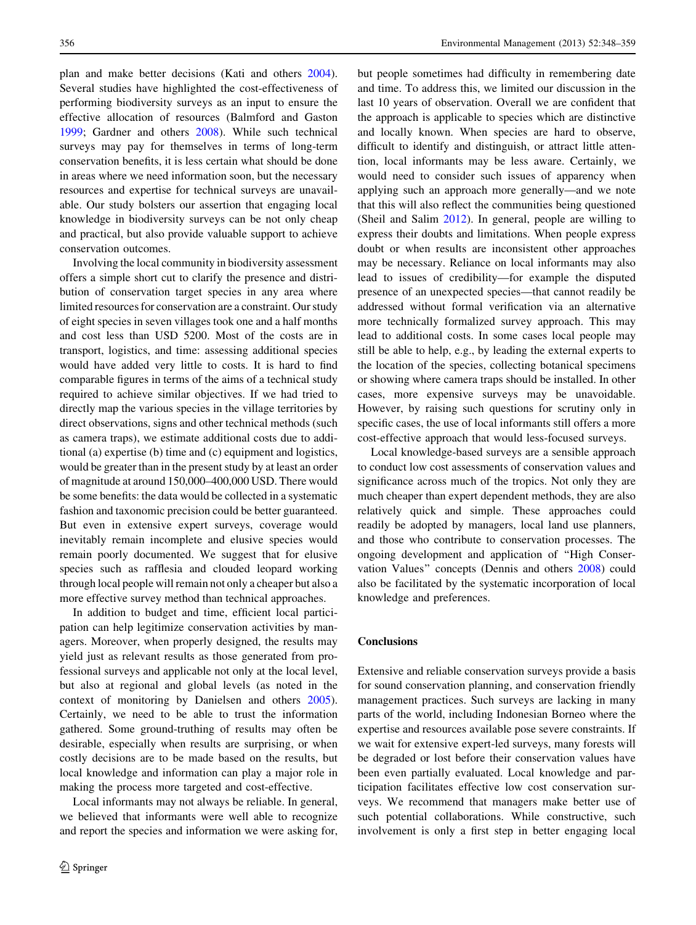plan and make better decisions (Kati and others [2004](#page-11-0)). Several studies have highlighted the cost-effectiveness of performing biodiversity surveys as an input to ensure the effective allocation of resources (Balmford and Gaston [1999;](#page-10-0) Gardner and others [2008\)](#page-10-0). While such technical surveys may pay for themselves in terms of long-term conservation benefits, it is less certain what should be done in areas where we need information soon, but the necessary resources and expertise for technical surveys are unavailable. Our study bolsters our assertion that engaging local knowledge in biodiversity surveys can be not only cheap and practical, but also provide valuable support to achieve conservation outcomes.

Involving the local community in biodiversity assessment offers a simple short cut to clarify the presence and distribution of conservation target species in any area where limited resources for conservation are a constraint. Our study of eight species in seven villages took one and a half months and cost less than USD 5200. Most of the costs are in transport, logistics, and time: assessing additional species would have added very little to costs. It is hard to find comparable figures in terms of the aims of a technical study required to achieve similar objectives. If we had tried to directly map the various species in the village territories by direct observations, signs and other technical methods (such as camera traps), we estimate additional costs due to additional (a) expertise (b) time and (c) equipment and logistics, would be greater than in the present study by at least an order of magnitude at around 150,000–400,000 USD. There would be some benefits: the data would be collected in a systematic fashion and taxonomic precision could be better guaranteed. But even in extensive expert surveys, coverage would inevitably remain incomplete and elusive species would remain poorly documented. We suggest that for elusive species such as rafflesia and clouded leopard working through local people will remain not only a cheaper but also a more effective survey method than technical approaches.

In addition to budget and time, efficient local participation can help legitimize conservation activities by managers. Moreover, when properly designed, the results may yield just as relevant results as those generated from professional surveys and applicable not only at the local level, but also at regional and global levels (as noted in the context of monitoring by Danielsen and others [2005](#page-10-0)). Certainly, we need to be able to trust the information gathered. Some ground-truthing of results may often be desirable, especially when results are surprising, or when costly decisions are to be made based on the results, but local knowledge and information can play a major role in making the process more targeted and cost-effective.

Local informants may not always be reliable. In general, we believed that informants were well able to recognize and report the species and information we were asking for, but people sometimes had difficulty in remembering date and time. To address this, we limited our discussion in the last 10 years of observation. Overall we are confident that the approach is applicable to species which are distinctive and locally known. When species are hard to observe, difficult to identify and distinguish, or attract little attention, local informants may be less aware. Certainly, we would need to consider such issues of apparency when applying such an approach more generally—and we note that this will also reflect the communities being questioned (Sheil and Salim [2012\)](#page-11-0). In general, people are willing to express their doubts and limitations. When people express doubt or when results are inconsistent other approaches may be necessary. Reliance on local informants may also lead to issues of credibility—for example the disputed presence of an unexpected species—that cannot readily be addressed without formal verification via an alternative more technically formalized survey approach. This may lead to additional costs. In some cases local people may still be able to help, e.g., by leading the external experts to the location of the species, collecting botanical specimens or showing where camera traps should be installed. In other cases, more expensive surveys may be unavoidable. However, by raising such questions for scrutiny only in specific cases, the use of local informants still offers a more cost-effective approach that would less-focused surveys.

Local knowledge-based surveys are a sensible approach to conduct low cost assessments of conservation values and significance across much of the tropics. Not only they are much cheaper than expert dependent methods, they are also relatively quick and simple. These approaches could readily be adopted by managers, local land use planners, and those who contribute to conservation processes. The ongoing development and application of ''High Conservation Values'' concepts (Dennis and others [2008\)](#page-10-0) could also be facilitated by the systematic incorporation of local knowledge and preferences.

# Conclusions

Extensive and reliable conservation surveys provide a basis for sound conservation planning, and conservation friendly management practices. Such surveys are lacking in many parts of the world, including Indonesian Borneo where the expertise and resources available pose severe constraints. If we wait for extensive expert-led surveys, many forests will be degraded or lost before their conservation values have been even partially evaluated. Local knowledge and participation facilitates effective low cost conservation surveys. We recommend that managers make better use of such potential collaborations. While constructive, such involvement is only a first step in better engaging local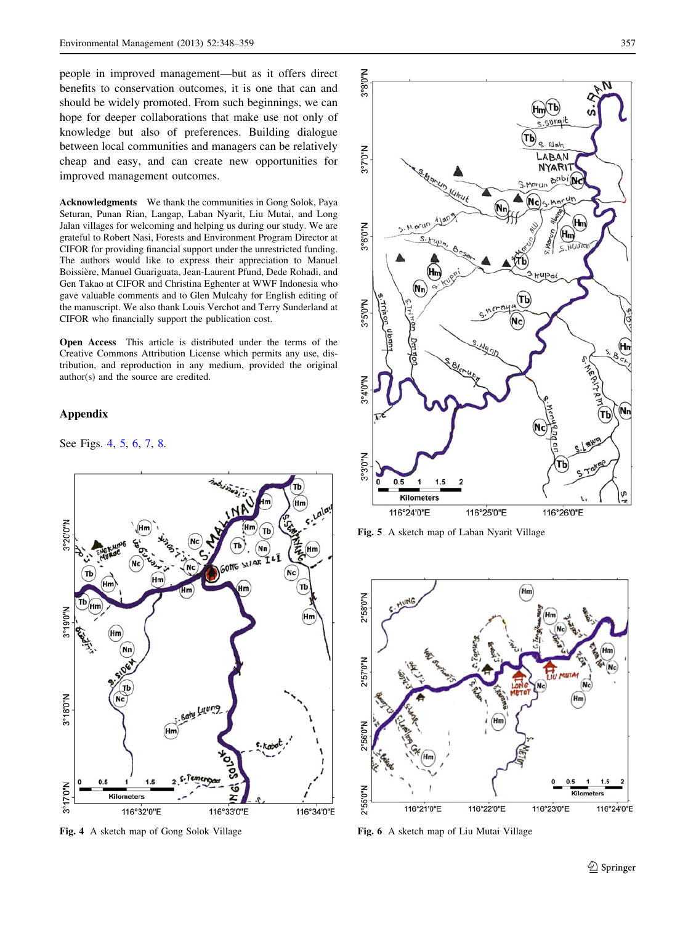<span id="page-9-0"></span>people in improved management—but as it offers direct benefits to conservation outcomes, it is one that can and should be widely promoted. From such beginnings, we can hope for deeper collaborations that make use not only of knowledge but also of preferences. Building dialogue between local communities and managers can be relatively cheap and easy, and can create new opportunities for improved management outcomes.

Acknowledgments We thank the communities in Gong Solok, Paya Seturan, Punan Rian, Langap, Laban Nyarit, Liu Mutai, and Long Jalan villages for welcoming and helping us during our study. We are grateful to Robert Nasi, Forests and Environment Program Director at CIFOR for providing financial support under the unrestricted funding. The authors would like to express their appreciation to Manuel Boissière, Manuel Guariguata, Jean-Laurent Pfund, Dede Rohadi, and Gen Takao at CIFOR and Christina Eghenter at WWF Indonesia who gave valuable comments and to Glen Mulcahy for English editing of the manuscript. We also thank Louis Verchot and Terry Sunderland at CIFOR who financially support the publication cost.

Open Access This article is distributed under the terms of the Creative Commons Attribution License which permits any use, distribution, and reproduction in any medium, provided the original author(s) and the source are credited.

# Appendix

See Figs. 4, 5, 6, [7](#page-10-0), [8.](#page-10-0)





Fig. 5 A sketch map of Laban Nyarit Village



Fig. 4 A sketch map of Gong Solok Village Fig. 6 A sketch map of Liu Mutai Village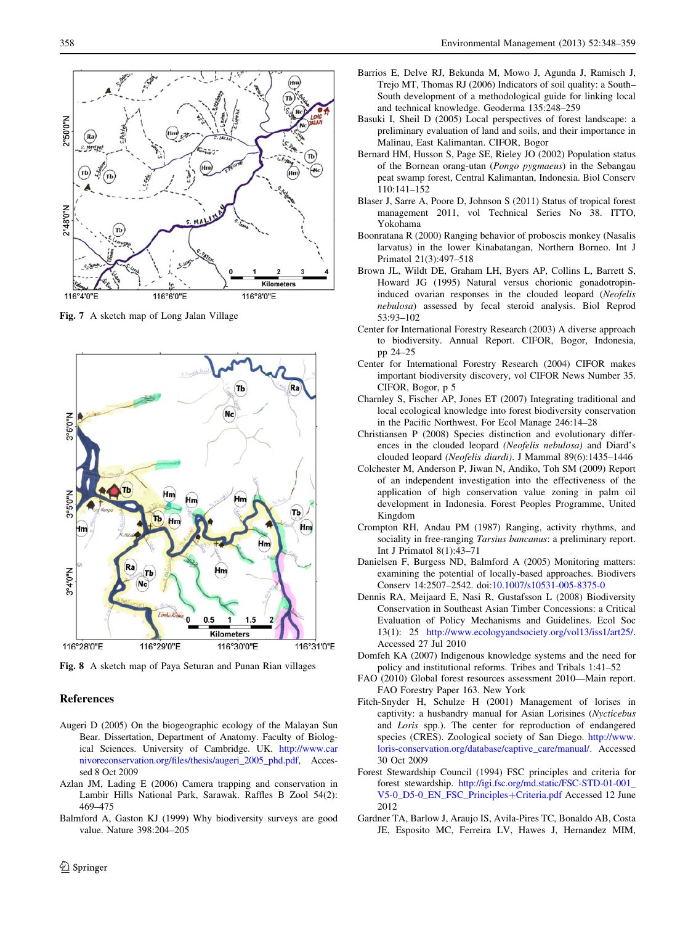<span id="page-10-0"></span>

Fig. 7 A sketch map of Long Jalan Village



Fig. 8 A sketch map of Paya Seturan and Punan Rian villages

#### References

- Augeri D (2005) On the biogeographic ecology of the Malayan Sun Bear. Dissertation, Department of Anatomy. Faculty of Biological Sciences. University of Cambridge. UK. [http://www.car](http://www.carnivoreconservation.org/files/thesis/augeri_2005_phd.pdf) [nivoreconservation.org/files/thesis/augeri\\_2005\\_phd.pdf](http://www.carnivoreconservation.org/files/thesis/augeri_2005_phd.pdf), Accessed 8 Oct 2009
- Azlan JM, Lading E (2006) Camera trapping and conservation in Lambir Hills National Park, Sarawak. Raffles B Zool 54(2): 469–475
- Balmford A, Gaston KJ (1999) Why biodiversity surveys are good value. Nature 398:204–205
- Barrios E, Delve RJ, Bekunda M, Mowo J, Agunda J, Ramisch J, Trejo MT, Thomas RJ (2006) Indicators of soil quality: a South– South development of a methodological guide for linking local and technical knowledge. Geoderma 135:248–259
- Basuki I, Sheil D (2005) Local perspectives of forest landscape: a preliminary evaluation of land and soils, and their importance in Malinau, East Kalimantan. CIFOR, Bogor
- Bernard HM, Husson S, Page SE, Rieley JO (2002) Population status of the Bornean orang-utan (Pongo pygmaeus) in the Sebangau peat swamp forest, Central Kalimantan, Indonesia. Biol Conserv 110:141–152
- Blaser J, Sarre A, Poore D, Johnson S (2011) Status of tropical forest management 2011, vol Technical Series No 38. ITTO, Yokohama
- Boonratana R (2000) Ranging behavior of proboscis monkey (Nasalis larvatus) in the lower Kinabatangan, Northern Borneo. Int J Primatol 21(3):497–518
- Brown JL, Wildt DE, Graham LH, Byers AP, Collins L, Barrett S, Howard JG (1995) Natural versus chorionic gonadotropininduced ovarian responses in the clouded leopard (Neofelis nebulosa) assessed by fecal steroid analysis. Biol Reprod 53:93–102
- Center for International Forestry Research (2003) A diverse approach to biodiversity. Annual Report. CIFOR, Bogor, Indonesia, pp 24–25
- Center for International Forestry Research (2004) CIFOR makes important biodiversity discovery, vol CIFOR News Number 35. CIFOR, Bogor, p 5
- Charnley S, Fischer AP, Jones ET (2007) Integrating traditional and local ecological knowledge into forest biodiversity conservation in the Pacific Northwest. For Ecol Manage 246:14–28
- Christiansen P (2008) Species distinction and evolutionary differences in the clouded leopard (Neofelis nebulosa) and Diard's clouded leopard (Neofelis diardi). J Mammal 89(6):1435–1446
- Colchester M, Anderson P, Jiwan N, Andiko, Toh SM (2009) Report of an independent investigation into the effectiveness of the application of high conservation value zoning in palm oil development in Indonesia. Forest Peoples Programme, United Kingdom
- Crompton RH, Andau PM (1987) Ranging, activity rhythms, and sociality in free-ranging *Tarsius bancanus*: a preliminary report. Int J Primatol 8(1):43–71
- Danielsen F, Burgess ND, Balmford A (2005) Monitoring matters: examining the potential of locally-based approaches. Biodivers Conserv 14:2507–2542. doi[:10.1007/s10531-005-8375-0](http://dx.doi.org/10.1007/s10531-005-8375-0)
- Dennis RA, Meijaard E, Nasi R, Gustafsson L (2008) Biodiversity Conservation in Southeast Asian Timber Concessions: a Critical Evaluation of Policy Mechanisms and Guidelines. Ecol Soc 13(1): 25 <http://www.ecologyandsociety.org/vol13/iss1/art25/>. Accessed 27 Jul 2010
- Domfeh KA (2007) Indigenous knowledge systems and the need for policy and institutional reforms. Tribes and Tribals 1:41–52
- FAO (2010) Global forest resources assessment 2010—Main report. FAO Forestry Paper 163. New York
- Fitch-Snyder H, Schulze H (2001) Management of lorises in captivity: a husbandry manual for Asian Lorisines (Nycticebus and Loris spp.). The center for reproduction of endangered species (CRES). Zoological society of San Diego. [http://www.](http://www.loris-conservation.org/database/captive_care/manual/) [loris-conservation.org/database/captive\\_care/manual/.](http://www.loris-conservation.org/database/captive_care/manual/) Accessed 30 Oct 2009
- Forest Stewardship Council (1994) FSC principles and criteria for forest stewardship. [http://igi.fsc.org/md.static/FSC-STD-01-001\\_](http://igi.fsc.org/md.static/FSC-STD-01-001_V5-0_D5-0_EN_FSC_Principles%2bCriteria.pdf) [V5-0\\_D5-0\\_EN\\_FSC\\_Principles](http://igi.fsc.org/md.static/FSC-STD-01-001_V5-0_D5-0_EN_FSC_Principles%2bCriteria.pdf)+Criteria.pdf Accessed 12 June 2012
- Gardner TA, Barlow J, Araujo IS, Avila-Pires TC, Bonaldo AB, Costa JE, Esposito MC, Ferreira LV, Hawes J, Hernandez MIM,